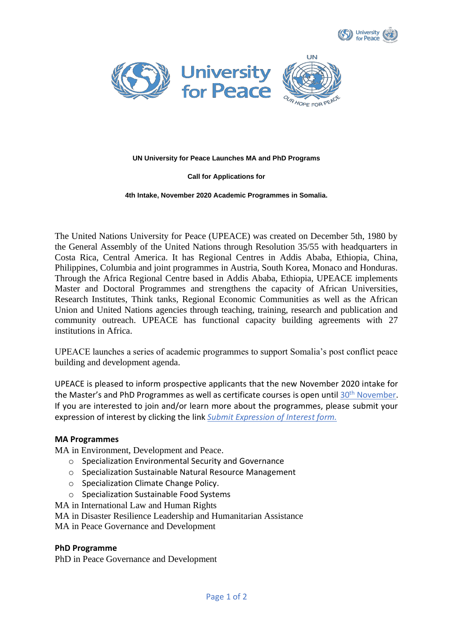



### **UN University for Peace Launches MA and PhD Programs**

### **Call for Applications for**

#### **4th Intake, November 2020 Academic Programmes in Somalia.**

The United Nations University for Peace (UPEACE) was created on December 5th, 1980 by the General Assembly of the United Nations through Resolution 35/55 with headquarters in Costa Rica, Central America. It has Regional Centres in Addis Ababa, Ethiopia, China, Philippines, Columbia and joint programmes in Austria, South Korea, Monaco and Honduras. Through the Africa Regional Centre based in Addis Ababa, Ethiopia, UPEACE implements Master and Doctoral Programmes and strengthens the capacity of African Universities, Research Institutes, Think tanks, Regional Economic Communities as well as the African Union and United Nations agencies through teaching, training, research and publication and community outreach. UPEACE has functional capacity building agreements with 27 institutions in Africa.

UPEACE launches a series of academic programmes to support Somalia's post conflict peace building and development agenda.

UPEACE is pleased to inform prospective applicants that the new November 2020 intake for the Master's and PhD Programmes as well as certificate courses is open until 30<sup>th</sup> November. If you are interested to join and/or learn more about the programmes, please submit your expression of interest by clicking the link *[Submit Expression of Interest form.](https://forms.gle/VYikMk5D3kKmW1M27)*

## **MA Programmes**

MA in Environment, Development and Peace.

- o Specialization Environmental Security and Governance
- o Specialization Sustainable Natural Resource Management
- o Specialization Climate Change Policy.
- o Specialization Sustainable Food Systems
- MA in International Law and Human Rights
- MA in Disaster Resilience Leadership and Humanitarian Assistance
- MA in Peace Governance and Development

## **PhD Programme**

PhD in Peace Governance and Development